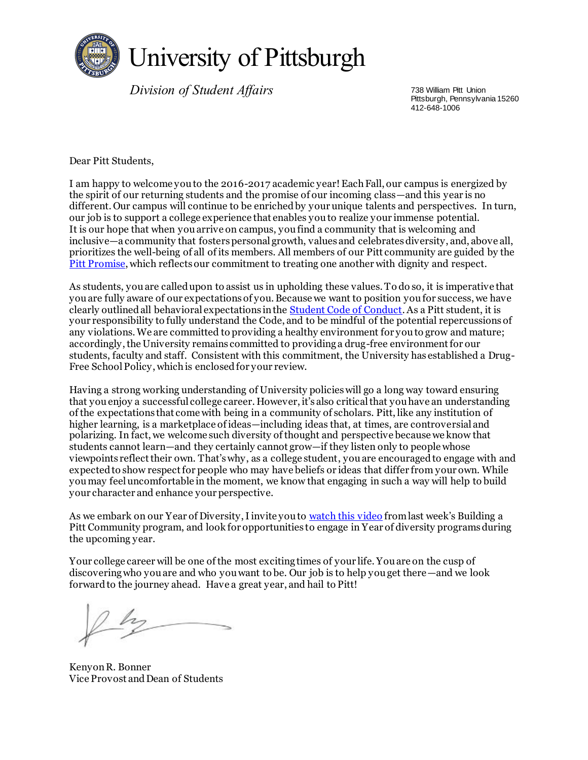

*Division of Student Affairs* 738 William Pitt Union

Pittsburgh, Pennsylvania 15260 412-648-1006

Dear Pitt Students,

I am happy to welcome you to the 2016-2017 academic year! Each Fall, our campus is energized by the spirit of our returning students and the promise of our incoming class—and this year is no different. Our campus will continue to be enriched by your unique talents and perspectives. In turn, our job is to support a college experience that enables you to realize your immense potential. It is our hope that when you arrive on campus, you find a community that is welcoming and inclusive—a community that fosters personal growth, values and celebrates diversity, and, above all, prioritizes the well-being of all of its members. All members of our Pitt community are guided by the [Pitt Promise,](http://www.studentaffairs.pitt.edu/pitt-promise/) which reflects our commitment to treating one another with dignity and respect.

As students, you are called upon to assist us in upholding these values. To do so, it is imperative that you are fully aware of our expectations of you. Because we want to position you for success, we have clearly outlined all behavioral expectations in the [Student Code of Conduct.](https://www.studentaffairs.pitt.edu/conduct/) As a Pitt student, it is your responsibility to fully understand the Code, and to be mindful of the potential repercussions of any violations. We are committed to providing a healthy environment for you to grow and mature; accordingly, the University remains committed to providing a drug-free environment for our students, faculty and staff. Consistent with this commitment, the University has established a Drug-Free School Policy, which is enclosed for your review.

Having a strong working understanding of University policies will go a long way toward ensuring that you enjoy a successful college career. However, it's also critical that you have an understanding of the expectations that come with being in a community of scholars. Pitt, like any institution of higher learning, is a marketplace of ideas—including ideas that, at times, are controversial and polarizing. In fact, we welcome such diversity of thought and perspective because we know that students cannot learn—and they certainly cannot grow—if they listen only to people whose viewpoints reflect their own. That's why, as a college student, you are encouraged to engage with and expected to show respect for people who may have beliefs or ideas that differ from your own. While you may feel uncomfortable in the moment, we know that engaging in such a way will help to build your character and enhance your perspective.

As we embark on our Year of Diversity, I invite you to <u>watch this video</u> from last week's Building a Pitt Community program, and look for opportunities to engage in Year of diversity programs during the upcoming year.

Your college career will be one of the most exciting times of your life. You are on the cusp of discovering who you are and who you want to be. Our job is to help you get there—and we look forward to the journey ahead. Have a great year, and hail to Pitt!

Kenyon R. Bonner Vice Provost and Dean of Students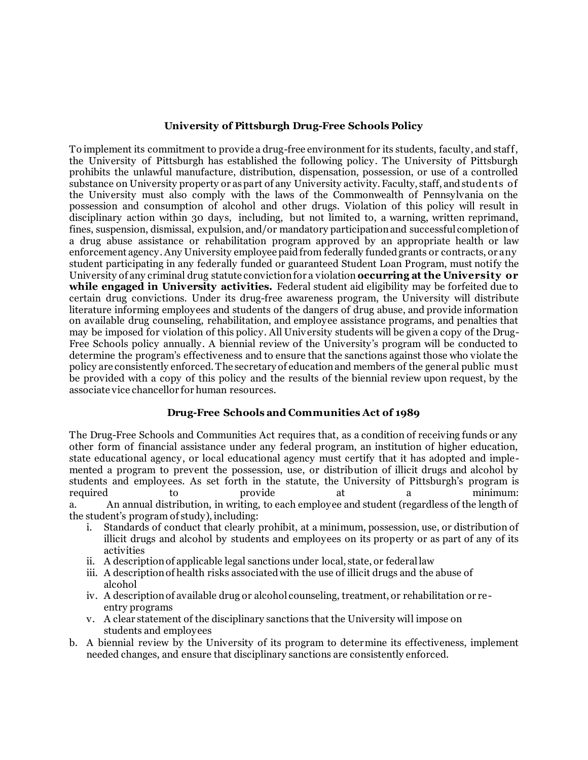#### **University of Pittsburgh Drug-Free Schools Policy**

To implement its commitment to provide a drug-free environment for its students, faculty, and staff, the University of Pittsburgh has established the following policy. The University of Pittsburgh prohibits the unlawful manufacture, distribution, dispensation, possession, or use of a controlled substance on University property or as part of any University activity. Faculty, staff, and students of the University must also comply with the laws of the Commonwealth of Pennsylvania on the possession and consumption of alcohol and other drugs. Violation of this policy will result in disciplinary action within 30 days, including, but not limited to, a warning, written reprimand, fines, suspension, dismissal, expulsion, and/or mandatory participation and successful completion of a drug abuse assistance or rehabilitation program approved by an appropriate health or law enforcement agency. Any University employee paid from federally funded grants or contracts, or any student participating in any federally funded or guaranteed Student Loan Program, must notify the University of any criminal drug statute conviction for a violation **occurring at the University or while engaged in University activities.** Federal student aid eligibility may be forfeited due to certain drug convictions. Under its drug-free awareness program, the University will distribute literature informing employees and students of the dangers of drug abuse, and provide information on available drug counseling, rehabilitation, and employee assistance programs, and penalties that may be imposed for violation of this policy. All Univ ersity students will be given a copy of the Drug-Free Schools policy annually. A biennial review of the University's program will be conducted to determine the program's effectiveness and to ensure that the sanctions against those who violate the policy are consistently enforced. The secretary of education and members of the general public must be provided with a copy of this policy and the results of the biennial review upon request, by the associate vice chancellor for human resources.

## **Drug-Free Schools and Communities Act of 1989**

The Drug-Free Schools and Communities Act requires that, as a condition of receiving funds or any other form of financial assistance under any federal program, an institution of higher education, state educational agency, or local educational agency must certify that it has adopted and implemented a program to prevent the possession, use, or distribution of illicit drugs and alcohol by students and employees. As set forth in the statute, the University of Pittsburgh's program is required to the provide at a minimum: a. An annual distribution, in writing, to each employee and student (regardless of the length of the student's program of study), including:

- i. Standards of conduct that clearly prohibit, at a minimum, possession, use, or distribution of illicit drugs and alcohol by students and employees on its property or as part of any of its activities
- ii. A description of applicable legal sanctions under local, state, or federal law
- iii. A description of health risks associated with the use of illicit drugs and the abuse of alcohol
- iv. A description of available drug or alcohol counseling, treatment, or rehabilitation or reentry programs
- v. A clear statement of the disciplinary sanctions that the University will impose on students and employees
- b. A biennial review by the University of its program to determine its effectiveness, implement needed changes, and ensure that disciplinary sanctions are consistently enforced.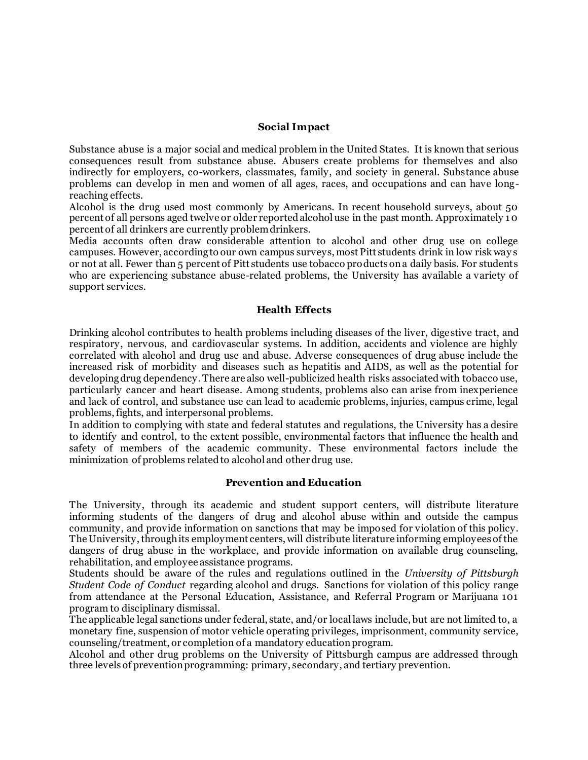#### **Social Impact**

Substance abuse is a major social and medical problem in the United States. It is known that serious consequences result from substance abuse. Abusers create problems for themselves and also indirectly for employers, co-workers, classmates, family, and society in general. Substance abuse problems can develop in men and women of all ages, races, and occupations and can have longreaching effects.

Alcohol is the drug used most commonly by Americans. In recent household surveys, about 50 percent of all persons aged twelve or older reported alcohol use in the past month. Approximately 1 0 percent of all drinkers are currently problem drinkers.

Media accounts often draw considerable attention to alcohol and other drug use on college campuses. However, according to our own campus surveys, most Pitt students drink in low risk way s or not at all. Fewer than 5 percent of Pitt students use tobacco products on a daily basis. For students who are experiencing substance abuse-related problems, the University has available a variety of support services.

## **Health Effects**

Drinking alcohol contributes to health problems including diseases of the liver, digestive tract, and respiratory, nervous, and cardiovascular systems. In addition, accidents and violence are highly correlated with alcohol and drug use and abuse. Adverse consequences of drug abuse include the increased risk of morbidity and diseases such as hepatitis and AIDS, as well as the potential for developing drug dependency. There are also well-publicized health risks associated with tobacco use, particularly cancer and heart disease. Among students, problems also can arise from inexperience and lack of control, and substance use can lead to academic problems, injuries, campus crime, legal problems, fights, and interpersonal problems.

In addition to complying with state and federal statutes and regulations, the University has a desire to identify and control, to the extent possible, environmental factors that influence the health and safety of members of the academic community. These environmental factors include the minimization of problems related to alcohol and other drug use.

#### **Prevention and Education**

The University, through its academic and student support centers, will distribute literature informing students of the dangers of drug and alcohol abuse within and outside the campus community, and provide information on sanctions that may be imposed for violation of this policy. The University, through its employment centers, will distribute literature informing employees of the dangers of drug abuse in the workplace, and provide information on available drug counseling, rehabilitation, and employee assistance programs.

Students should be aware of the rules and regulations outlined in the *University of Pittsburgh Student Code of Conduct* regarding alcohol and drugs. Sanctions for violation of this policy range from attendance at the Personal Education, Assistance, and Referral Program or Marijuana 101 program to disciplinary dismissal.

The applicable legal sanctions under federal, state, and/or local laws include, but are not limited to, a monetary fine, suspension of motor vehicle operating privileges, imprisonment, community service, counseling/treatment, or completion of a mandatory education program.

Alcohol and other drug problems on the University of Pittsburgh campus are addressed through three levels of prevention programming: primary, secondary, and tertiary prevention.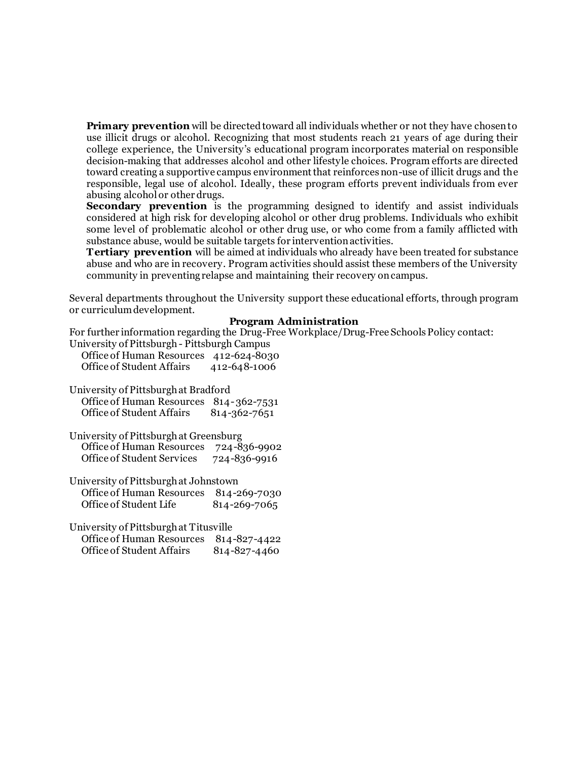**Primary prevention** will be directed toward all individuals whether or not they have chosen to use illicit drugs or alcohol. Recognizing that most students reach 21 years of age during their college experience, the University's educational program incorporates material on responsible decision-making that addresses alcohol and other lifestyle choices. Program efforts are directed toward creating a supportive campus environment that reinforces non-use of illicit drugs and the responsible, legal use of alcohol. Ideally, these program efforts prevent individuals from ever abusing alcohol or other drugs.

**Secondary prevention** is the programming designed to identify and assist individuals considered at high risk for developing alcohol or other drug problems. Individuals who exhibit some level of problematic alcohol or other drug use, or who come from a family afflicted with substance abuse, would be suitable targets for intervention activities.

**Tertiary prevention** will be aimed at individuals who already have been treated for substance abuse and who are in recovery. Program activities should assist these members of the University community in preventing relapse and maintaining their recovery on campus.

Several departments throughout the University support these educational efforts, through program or curriculum development.

#### **Program Administration**

For further information regarding the Drug-Free Workplace/Drug-Free Schools Policy contact: University of Pittsburgh - Pittsburgh Campus

| $\mathcal{L}_{\text{max}}$ and $\mathcal{L}_{\text{max}}$ and $\mathcal{L}_{\text{max}}$ and $\mathcal{L}_{\text{max}}$ |              |
|-------------------------------------------------------------------------------------------------------------------------|--------------|
| Office of Human Resources 412-624-8030                                                                                  |              |
| Office of Student Affairs                                                                                               | 412-648-1006 |

University of Pittsburgh at Bradford Office of Human Resources 814-362-7531

Office of Student Affairs 814-362-7651

University of Pittsburgh at Greensburg Office of Human Resources 724-836-9902 Office of Student Services 724-836-9916

University of Pittsburgh at Johnstown Office of Human Resources 814-269-7030 Office of Student Life 814-269-7065

University of Pittsburgh at Titusville Office of Human Resources 814-827-4422 Office of Student Affairs 814-827-4460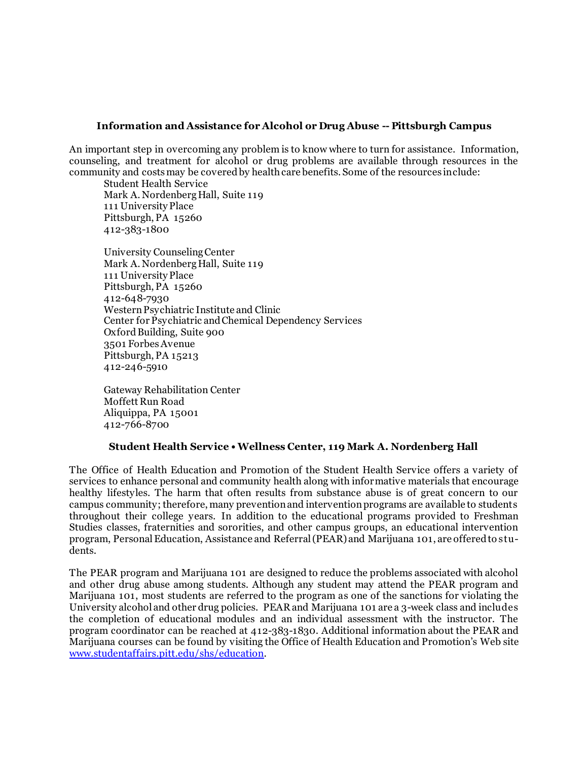#### **Information and Assistance for Alcohol or Drug Abuse -- Pittsburgh Campus**

An important step in overcoming any problem is to know where to turn for assistance. Information, counseling, and treatment for alcohol or drug problems are available through resources in the community and costs may be covered by health care benefits. Some of the resources include:

Student Health Service Mark A. Nordenberg Hall, Suite 119 111 University Place Pittsburgh, PA 15260 412-383-1800

University Counseling Center Mark A. Nordenberg Hall, Suite 119 111 University Place Pittsburgh, PA 15260 412-648-7930 Western Psychiatric Institute and Clinic Center for Psychiatric and Chemical Dependency Services Oxford Building, Suite 900 3501 Forbes Avenue Pittsburgh, PA 15213 412-246-5910

Gateway Rehabilitation Center Moffett Run Road Aliquippa, PA 15001 412-766-8700

## **Student Health Service • Wellness Center, 119 Mark A. Nordenberg Hall**

The Office of Health Education and Promotion of the Student Health Service offers a variety of services to enhance personal and community health along with informative materials that encourage healthy lifestyles. The harm that often results from substance abuse is of great concern to our campus community; therefore, many prevention and intervention programs are available to students throughout their college years. In addition to the educational programs provided to Freshman Studies classes, fraternities and sororities, and other campus groups, an educational intervention program, Personal Education, Assistance and Referral (PEAR) and Marijuana 101, are offered to students.

The PEAR program and Marijuana 101 are designed to reduce the problems associated with alcohol and other drug abuse among students. Although any student may attend the PEAR program and Marijuana 101, most students are referred to the program as one of the sanctions for violating the University alcohol and other drug policies. PEAR and Marijuana 101 are a 3-week class and includes the completion of educational modules and an individual assessment with the instructor. The program coordinator can be reached at 412-383-1830. Additional information about the PEAR and Marijuana courses can be found by visiting the Office of Health Education and Promotion's Web site [www.studentaffairs.pitt.edu/shs/education.](http://www.studentaffairs.pitt.edu/shs/education)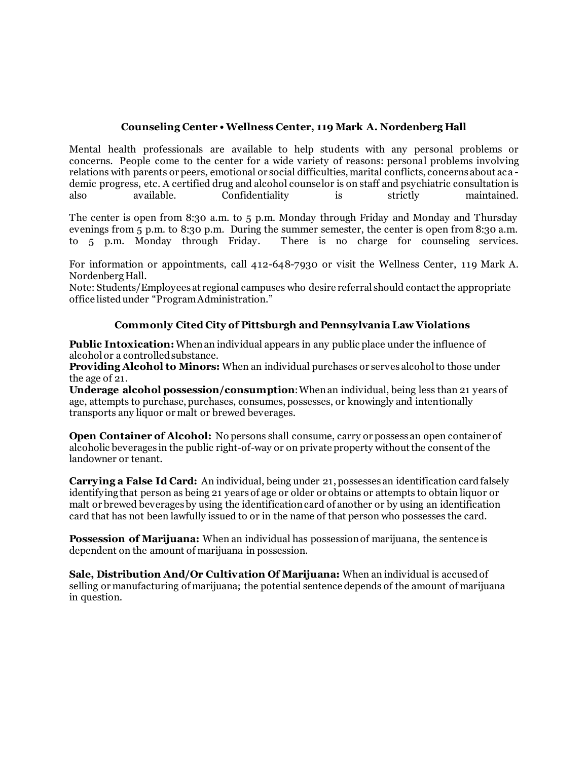# **Counseling Center • Wellness Center, 119 Mark A. Nordenberg Hall**

Mental health professionals are available to help students with any personal problems or concerns. People come to the center for a wide variety of reasons: personal problems involving relations with parents or peers, emotional or social difficulties, marital conflicts, concerns about aca demic progress, etc. A certified drug and alcohol counselor is on staff and psychiatric consultation is also available. Confidentiality is strictly maintained.

The center is open from 8:30 a.m. to 5 p.m. Monday through Friday and Monday and Thursday evenings from 5 p.m. to 8:30 p.m. During the summer semester, the center is open from 8:30 a.m. to 5 p.m. Monday through Friday. There is no charge for counseling services.

For information or appointments, call 412-648-7930 or visit the Wellness Center, 119 Mark A. Nordenberg Hall.

Note: Students/Employees at regional campuses who desire referral should contact the appropriate office listed under "Program Administration."

# **Commonly Cited City of Pittsburgh and Pennsylvania Law Violations**

**Public Intoxication:**When an individual appears in any public place under the influence of alcohol or a controlled substance.

**Providing Alcohol to Minors:** When an individual purchases or serves alcohol to those under the age of 21.

**Underage alcohol possession/consumption**: When an individual, being less than 21 years of age, attempts to purchase, purchases, consumes, possesses, or knowingly and intentionally transports any liquor or malt or brewed beverages.

**Open Container of Alcohol:** No persons shall consume, carry or possess an open container of alcoholic beverages in the public right-of-way or on private property without the consent of the landowner or tenant.

**Carrying a False Id Card:** An individual, being under 21, possesses an identification card falsely identifying that person as being 21 years of age or older or obtains or attempts to obtain liquor or malt or brewed beverages by using the identification card of another or by using an identification card that has not been lawfully issued to or in the name of that person who possesses the card.

**Possession of Marijuana:** When an individual has possession of marijuana, the sentence is dependent on the amount of marijuana in possession.

**Sale, Distribution And/Or Cultivation Of Marijuana:** When an individual is accused of selling or manufacturing of marijuana; the potential sentence depends of the amount of marijuana in question.